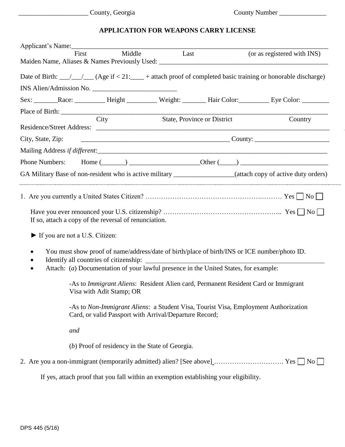## **APPLICATION FOR WEAPONS CARRY LICENSE**

| First                                                                                                                                                                                                               | Middle Last |                                                                                       | (or as registered with INS) |
|---------------------------------------------------------------------------------------------------------------------------------------------------------------------------------------------------------------------|-------------|---------------------------------------------------------------------------------------|-----------------------------|
|                                                                                                                                                                                                                     |             |                                                                                       |                             |
| Date of Birth: $\_\_\_\_\_\_\_\_\_\_\_\_\_\_\$ (Age if < 21: $\_\_\_\_\$ + attach proof of completed basic training or honorable discharge)                                                                         |             |                                                                                       |                             |
|                                                                                                                                                                                                                     |             |                                                                                       |                             |
| Sex: Race: Race: Height Weight: Hair Color: Eye Color:                                                                                                                                                              |             |                                                                                       |                             |
| City                                                                                                                                                                                                                |             | <b>State, Province or District</b>                                                    | Country                     |
|                                                                                                                                                                                                                     |             |                                                                                       |                             |
| City, State, Zip:                                                                                                                                                                                                   |             |                                                                                       |                             |
|                                                                                                                                                                                                                     |             |                                                                                       |                             |
|                                                                                                                                                                                                                     |             |                                                                                       |                             |
| GA Military Base of non-resident who is active military _________________(attach copy of active duty orders)                                                                                                        |             |                                                                                       |                             |
| If so, attach a copy of the reversal of renunciation.<br>• If you are not a U.S. Citizen:<br>You must show proof of name/address/date of birth/place of birth/INS or ICE number/photo ID.<br>$\bullet$<br>$\bullet$ |             |                                                                                       |                             |
| Attach: (a) Documentation of your lawful presence in the United States, for example:<br>$\bullet$                                                                                                                   |             |                                                                                       |                             |
| -As to Immigrant Aliens: Resident Alien card, Permanent Resident Card or Immigrant<br>Visa with Adit Stamp; OR                                                                                                      |             |                                                                                       |                             |
| -As to <i>Non-Immigrant Aliens</i> : a Student Visa, Tourist Visa, Employment Authorization<br>Card, or valid Passport with Arrival/Departure Record;                                                               |             |                                                                                       |                             |
| and                                                                                                                                                                                                                 |             |                                                                                       |                             |
| (b) Proof of residency in the State of Georgia.                                                                                                                                                                     |             |                                                                                       |                             |
|                                                                                                                                                                                                                     |             |                                                                                       |                             |
|                                                                                                                                                                                                                     |             | If yes, attach proof that you fall within an exemption establishing your eligibility. |                             |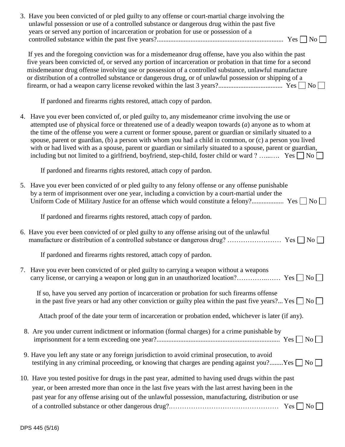| 3. Have you been convicted of or pled guilty to any offense or court-martial charge involving the<br>unlawful possession or use of a controlled substance or dangerous drug within the past five<br>years or served any portion of incarceration or probation for use or possession of a                                                                                                                                                                                                                                                                                                                                                                               |                        |
|------------------------------------------------------------------------------------------------------------------------------------------------------------------------------------------------------------------------------------------------------------------------------------------------------------------------------------------------------------------------------------------------------------------------------------------------------------------------------------------------------------------------------------------------------------------------------------------------------------------------------------------------------------------------|------------------------|
|                                                                                                                                                                                                                                                                                                                                                                                                                                                                                                                                                                                                                                                                        | $\overline{\text{No}}$ |
| If yes and the foregoing conviction was for a misdemeanor drug offense, have you also within the past<br>five years been convicted of, or served any portion of incarceration or probation in that time for a second<br>misdemeanor drug offense involving use or possession of a controlled substance, unlawful manufacture<br>or distribution of a controlled substance or dangerous drug, or of unlawful possession or shipping of a                                                                                                                                                                                                                                |                        |
| If pardoned and firearms rights restored, attach copy of pardon.                                                                                                                                                                                                                                                                                                                                                                                                                                                                                                                                                                                                       |                        |
| 4. Have you ever been convicted of, or pled guilty to, any misdemeanor crime involving the use or<br>attempted use of physical force or threatened use of a deadly weapon towards $(a)$ anyone as to whom at<br>the time of the offense you were a current or former spouse, parent or guardian or similarly situated to a<br>spouse, parent or guardian, (b) a person with whom you had a child in common, or (c) a person you lived<br>with or had lived with as a spouse, parent or guardian or similarly situated to a spouse, parent or guardian,<br>including but not limited to a girlfriend, boyfriend, step-child, foster child or ward? Yes $\Box$ No $\Box$ |                        |
| If pardoned and firearms rights restored, attach copy of pardon.                                                                                                                                                                                                                                                                                                                                                                                                                                                                                                                                                                                                       |                        |
| 5. Have you ever been convicted of or pled guilty to any felony offense or any offense punishable<br>by a term of imprisonment over one year, including a conviction by a court-martial under the                                                                                                                                                                                                                                                                                                                                                                                                                                                                      | $\overline{N_{O}}$     |
| If pardoned and firearms rights restored, attach copy of pardon.                                                                                                                                                                                                                                                                                                                                                                                                                                                                                                                                                                                                       |                        |
| 6. Have you ever been convicted of or pled guilty to any offense arising out of the unlawful                                                                                                                                                                                                                                                                                                                                                                                                                                                                                                                                                                           |                        |
| If pardoned and firearms rights restored, attach copy of pardon.                                                                                                                                                                                                                                                                                                                                                                                                                                                                                                                                                                                                       |                        |
| 7. Have you ever been convicted of or pled guilty to carrying a weapon without a weapons                                                                                                                                                                                                                                                                                                                                                                                                                                                                                                                                                                               |                        |
| If so, have you served any portion of incarceration or probation for such firearms offense<br>in the past five years or had any other conviction or guilty plea within the past five years? Yes $\Box$ No $\Box$                                                                                                                                                                                                                                                                                                                                                                                                                                                       |                        |
| Attach proof of the date your term of incarceration or probation ended, whichever is later (if any).                                                                                                                                                                                                                                                                                                                                                                                                                                                                                                                                                                   |                        |
| 8. Are you under current indictment or information (formal charges) for a crime punishable by                                                                                                                                                                                                                                                                                                                                                                                                                                                                                                                                                                          |                        |
| 9. Have you left any state or any foreign jurisdiction to avoid criminal prosecution, to avoid<br>testifying in any criminal proceeding, or knowing that charges are pending against you?Yes $\Box$ No $\Box$                                                                                                                                                                                                                                                                                                                                                                                                                                                          |                        |
| 10. Have you tested positive for drugs in the past year, admitted to having used drugs within the past<br>year, or been arrested more than once in the last five years with the last arrest having been in the<br>past year for any offense arising out of the unlawful possession, manufacturing, distribution or use                                                                                                                                                                                                                                                                                                                                                 | $\overline{N_{O}}$     |